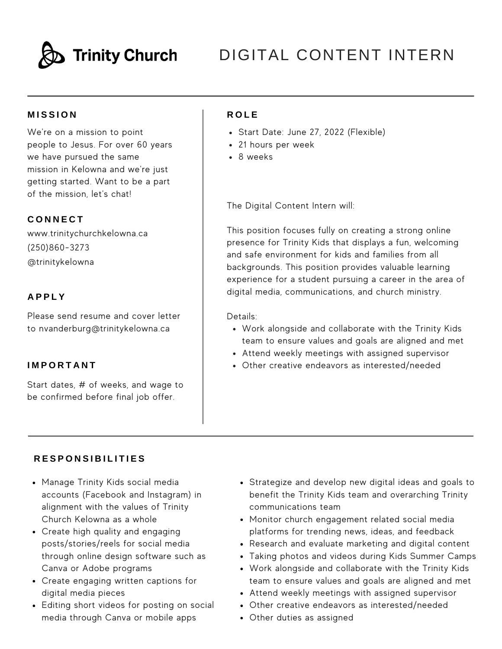

# DIGITAL CONTENT INTERN

## **M I S S I O N**

We're on a mission to point people to Jesus. For over 60 years we have pursued the same mission in Kelowna and we're just getting started. Want to be a part of the mission, let's chat!

### **C O N N E C T**

www.trinitychurchkelowna.ca (250)860-3273 @trinitykelowna

### **A P P L Y**

Please send resume and cover letter to nvanderburg@trinitykelowna.ca

### **I M P O R T A N T**

Start dates, # of weeks, and wage to be confirmed before final job offer.

## **R O L E**

- Start Date: June 27, 2022 (Flexible)
- 21 hours per week
- 8 weeks

The Digital Content Intern will:

This position focuses fully on creating a strong online presence for Trinity Kids that displays a fun, welcoming and safe environment for kids and families from all backgrounds. This position provides valuable learning experience for a student pursuing a career in the area of digital media, communications, and church ministry.

Details:

- Work alongside and collaborate with the Trinity Kids team to ensure values and goals are aligned and met
- Attend weekly meetings with assigned supervisor
- Other creative endeavors as interested/needed

#### **R E S P O N S I B I L I T I E S**

- Manage Trinity Kids social media accounts (Facebook and Instagram) in alignment with the values of Trinity Church Kelowna as a whole
- Create high quality and engaging posts/stories/reels for social media through online design software such as Canva or Adobe programs
- Create engaging written captions for digital media pieces
- Editing short videos for posting on social media through Canva or mobile apps
- Strategize and develop new digital ideas and goals to benefit the Trinity Kids team and overarching Trinity communications team
- Monitor church engagement related social media platforms for trending news, ideas, and feedback
- Research and evaluate marketing and digital content
- Taking photos and videos during Kids Summer Camps
- Work alongside and collaborate with the Trinity Kids team to ensure values and goals are aligned and met
- Attend weekly meetings with assigned supervisor
- Other creative endeavors as interested/needed
- Other duties as assigned